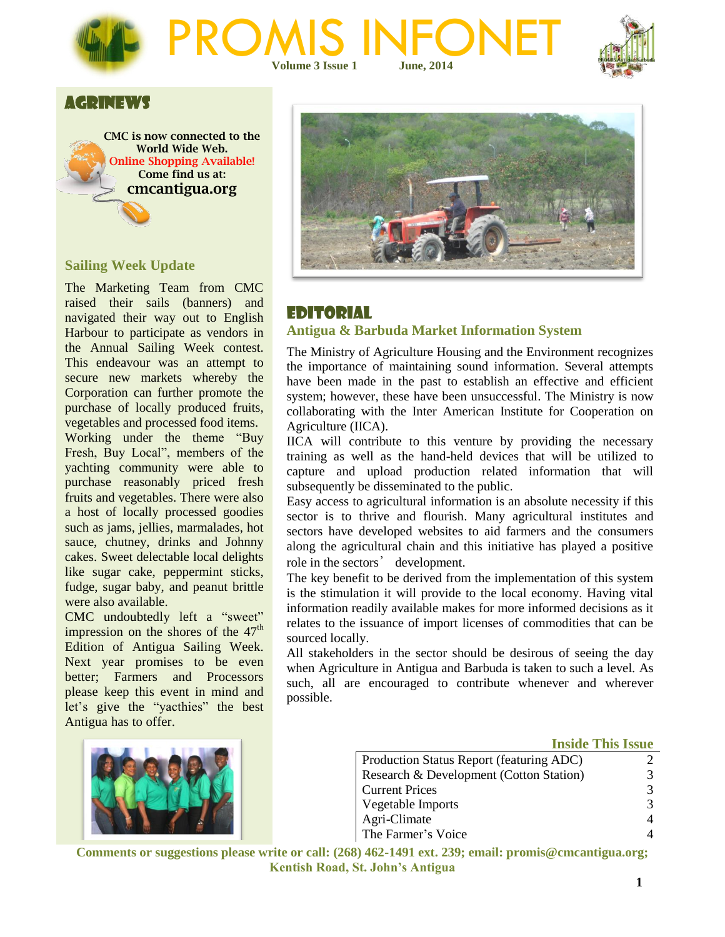



## AGRINEWS



### **Sailing Week Update**

The Marketing Team from CMC raised their sails (banners) and navigated their way out to English Harbour to participate as vendors in the Annual Sailing Week contest. This endeavour was an attempt to secure new markets whereby the Corporation can further promote the purchase of locally produced fruits, vegetables and processed food items. Working under the theme "Buy Fresh, Buy Local", members of the yachting community were able to purchase reasonably priced fresh fruits and vegetables. There were also a host of locally processed goodies such as jams, jellies, marmalades, hot sauce, chutney, drinks and Johnny cakes. Sweet delectable local delights like sugar cake, peppermint sticks, fudge, sugar baby, and peanut brittle were also available.

CMC undoubtedly left a "sweet" impression on the shores of the  $47<sup>th</sup>$ Edition of Antigua Sailing Week. Next year promises to be even better; Farmers and Processors please keep this event in mind and let's give the "yacthies" the best Antigua has to offer.





## EDITORIAL

#### **Antigua & Barbuda Market Information System**

The Ministry of Agriculture Housing and the Environment recognizes the importance of maintaining sound information. Several attempts have been made in the past to establish an effective and efficient system; however, these have been unsuccessful. The Ministry is now collaborating with the Inter American Institute for Cooperation on Agriculture (IICA).

IICA will contribute to this venture by providing the necessary training as well as the hand-held devices that will be utilized to capture and upload production related information that will subsequently be disseminated to the public.

Easy access to agricultural information is an absolute necessity if this sector is to thrive and flourish. Many agricultural institutes and sectors have developed websites to aid farmers and the consumers along the agricultural chain and this initiative has played a positive role in the sectors' development.

The key benefit to be derived from the implementation of this system is the stimulation it will provide to the local economy. Having vital information readily available makes for more informed decisions as it relates to the issuance of import licenses of commodities that can be sourced locally.

All stakeholders in the sector should be desirous of seeing the day when Agriculture in Antigua and Barbuda is taken to such a level. As such, all are encouraged to contribute whenever and wherever possible.

#### **Inside This Issue**

| Production Status Report (featuring ADC) |          |
|------------------------------------------|----------|
| Research & Development (Cotton Station)  | 3.       |
| <b>Current Prices</b>                    | 3        |
| Vegetable Imports                        | 3        |
| Agri-Climate                             | $\Delta$ |
| The Farmer's Voice                       |          |
|                                          |          |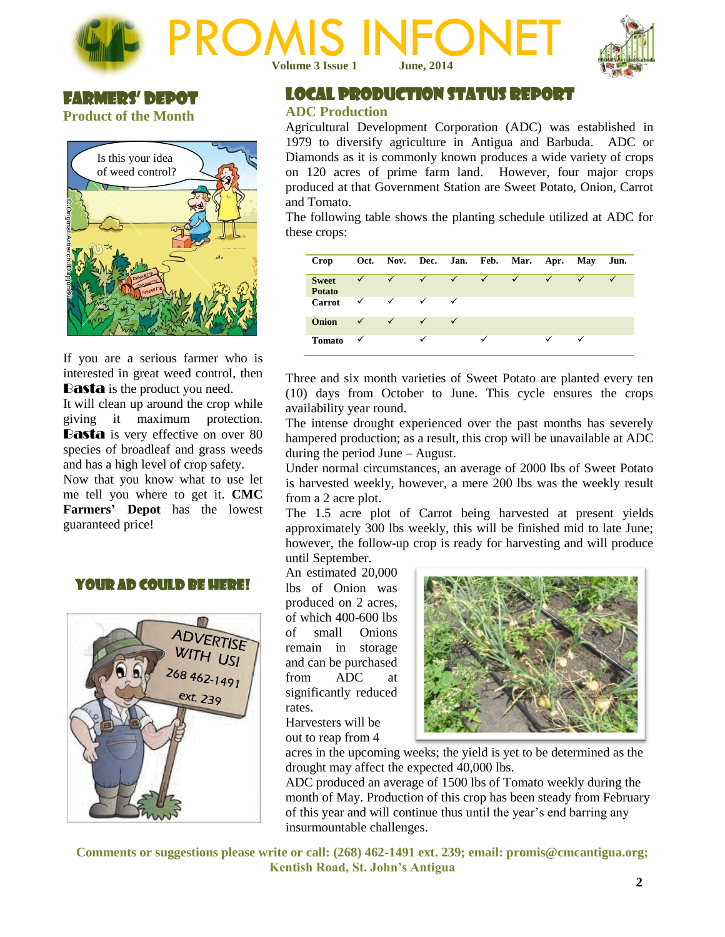



## Farmers' Depot **Product of the Month**



If you are a serious farmer who is interested in great weed control, then **Basta** is the product you need.

It will clean up around the crop while giving it maximum protection. **Basta** is very effective on over 80 species of broadleaf and grass weeds and has a high level of crop safety. Now that you know what to use let me tell you where to get it. **CMC Farmers' Depot** has the lowest guaranteed price!

## Your Ad Could Be Here!



LOCAL PRODUCTION STATUS REPORT

#### **ADC Production**

Agricultural Development Corporation (ADC) was established in 1979 to diversify agriculture in Antigua and Barbuda. ADC or Diamonds as it is commonly known produces a wide variety of crops on 120 acres of prime farm land. However, four major crops produced at that Government Station are Sweet Potato, Onion, Carrot and Tomato.

The following table shows the planting schedule utilized at ADC for these crops:

| Crop                          |              |              |              |              |            | Oct. Nov. Dec. Jan. Feb. Mar. Apr. May Jun. |              |   |  |
|-------------------------------|--------------|--------------|--------------|--------------|------------|---------------------------------------------|--------------|---|--|
| <b>Sweet</b><br><b>Potato</b> | $\checkmark$ | $\checkmark$ | $\sqrt{2}$   | $\sqrt{ }$   | $\sqrt{ }$ | $\checkmark$                                | $\checkmark$ |   |  |
| <b>Carrot</b>                 | $\checkmark$ | $\checkmark$ | $\checkmark$ | ✓            |            |                                             |              |   |  |
| Onion                         | $\checkmark$ | $\checkmark$ | $\checkmark$ | $\checkmark$ |            |                                             |              |   |  |
| <b>Tomato</b>                 | $\checkmark$ |              | $\checkmark$ |              | ✓          |                                             | ✓            | ✓ |  |

Three and six month varieties of Sweet Potato are planted every ten (10) days from October to June. This cycle ensures the crops availability year round.

The intense drought experienced over the past months has severely hampered production; as a result, this crop will be unavailable at ADC during the period June – August.

Under normal circumstances, an average of 2000 lbs of Sweet Potato is harvested weekly, however, a mere 200 lbs was the weekly result from a 2 acre plot.

The 1.5 acre plot of Carrot being harvested at present yields approximately 300 lbs weekly, this will be finished mid to late June; however, the follow-up crop is ready for harvesting and will produce until September.

An estimated 20,000 lbs of Onion was produced on 2 acres, of which 400-600 lbs of small Onions remain in storage and can be purchased from ADC at significantly reduced rates. Harvesters will be

out to reap from 4



acres in the upcoming weeks; the yield is yet to be determined as the drought may affect the expected 40,000 lbs.

ADC produced an average of 1500 lbs of Tomato weekly during the month of May. Production of this crop has been steady from February of this year and will continue thus until the year's end barring any insurmountable challenges.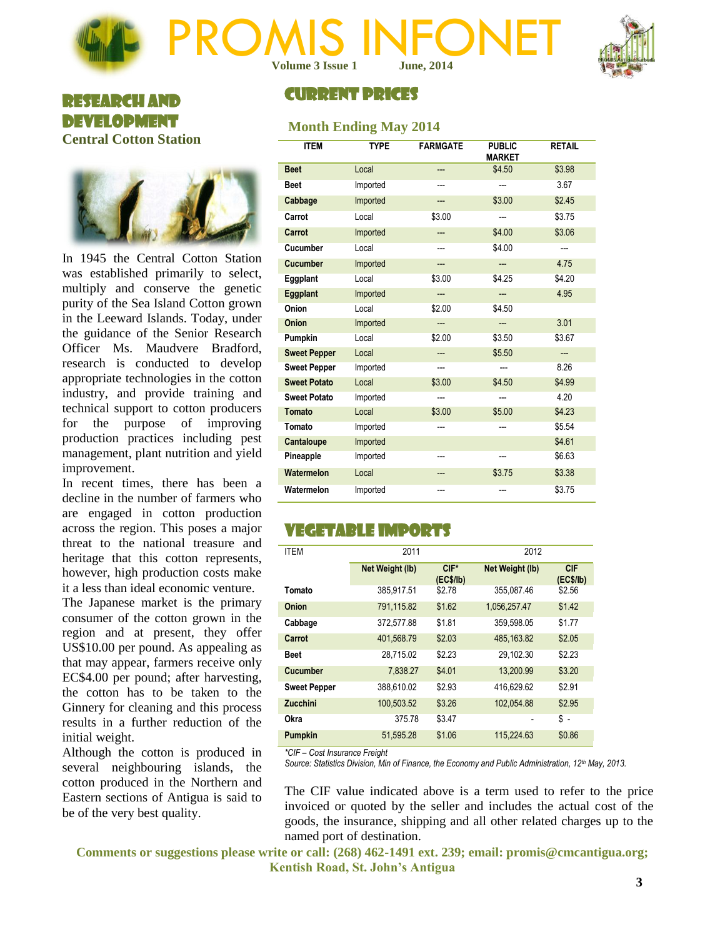



## RESEARCH AND DEVELOPMENT **Central Cotton Station**



In 1945 the Central Cotton Station was established primarily to select, multiply and conserve the genetic purity of the Sea Island Cotton grown in the Leeward Islands. Today, under the guidance of the Senior Research Officer Ms. Maudvere Bradford, research is conducted to develop appropriate technologies in the cotton industry, and provide training and technical support to cotton producers for the purpose of improving production practices including pest management, plant nutrition and yield improvement.

In recent times, there has been a decline in the number of farmers who are engaged in cotton production across the region. This poses a major threat to the national treasure and heritage that this cotton represents, however, high production costs make it a less than ideal economic venture.

The Japanese market is the primary consumer of the cotton grown in the region and at present, they offer US\$10.00 per pound. As appealing as that may appear, farmers receive only EC\$4.00 per pound; after harvesting, the cotton has to be taken to the Ginnery for cleaning and this process results in a further reduction of the initial weight.

Although the cotton is produced in several neighbouring islands, the cotton produced in the Northern and Eastern sections of Antigua is said to be of the very best quality.

# CURRENT PRICES

## **Month Ending May 2014**

| <b>ITEM</b>         | <b>TYPE</b> | <b>FARMGATE</b> | <b>PUBLIC</b><br><b>MARKET</b> | <b>RETAIL</b> |
|---------------------|-------------|-----------------|--------------------------------|---------------|
| <b>Beet</b>         | Local       | ---             | \$4.50                         | \$3.98        |
| <b>Beet</b>         | Imported    | ---             | ---                            | 3.67          |
| Cabbage             | Imported    | ---             | \$3.00                         | \$2.45        |
| Carrot              | Local       | \$3.00          | ---                            | \$3.75        |
| Carrot              | Imported    | ---             | \$4.00                         | \$3.06        |
| Cucumber            | Local       | ---             | \$4.00                         | ---           |
| <b>Cucumber</b>     | Imported    | ---             | ---                            | 4.75          |
| Eggplant            | Local       | \$3.00          | \$4.25                         | \$4.20        |
| Eggplant            | Imported    | ---             | ---                            | 4.95          |
| Onion               | Local       | \$2.00          | \$4.50                         |               |
| <b>Onion</b>        | Imported    | ---             | ---                            | 3.01          |
| Pumpkin             | Local       | \$2.00          | \$3.50                         | \$3.67        |
| <b>Sweet Pepper</b> | Local       | ---             | \$5.50                         | ---           |
| <b>Sweet Pepper</b> | Imported    | ---             | ---                            | 8.26          |
| <b>Sweet Potato</b> | Local       | \$3.00          | \$4.50                         | \$4.99        |
| <b>Sweet Potato</b> | Imported    | ---             | ---                            | 4.20          |
| Tomato              | Local       | \$3.00          | \$5.00                         | \$4.23        |
| Tomato              | Imported    | ---             | ---                            | \$5.54        |
| Cantaloupe          | Imported    |                 |                                | \$4.61        |
| Pineapple           | Imported    | ---             | ---                            | \$6.63        |
| Watermelon          | Local       | ---             | \$3.75                         | \$3.38        |
| Watermelon          | Imported    | ---             |                                | \$3.75        |

## VEGETABLE IMPORTS

| <b>ITEM</b>         | 2011            |                      | 2012            |                         |  |
|---------------------|-----------------|----------------------|-----------------|-------------------------|--|
|                     | Net Weight (lb) | $CIF^*$<br>(EC\$/lb) | Net Weight (lb) | <b>CIF</b><br>(EC\$/lb) |  |
| Tomato              | 385,917.51      | \$2.78               | 355.087.46      | \$2.56                  |  |
| Onion               | 791,115.82      | \$1.62               | 1,056,257.47    | \$1.42                  |  |
| Cabbage             | 372,577.88      | \$1.81               | 359,598.05      | \$1.77                  |  |
| Carrot              | 401,568.79      | \$2.03               | 485,163.82      | \$2.05                  |  |
| <b>Beet</b>         | 28.715.02       | \$2.23               | 29.102.30       | \$2.23                  |  |
| <b>Cucumber</b>     | 7,838.27        | \$4.01               | 13.200.99       | \$3.20                  |  |
| <b>Sweet Pepper</b> | 388,610.02      | \$2.93               | 416.629.62      | \$2.91                  |  |
| <b>Zucchini</b>     | 100,503.52      | \$3.26               | 102.054.88      | \$2.95                  |  |
| Okra                | 375.78          | \$3.47               |                 | \$ -                    |  |
| <b>Pumpkin</b>      | 51.595.28       | \$1.06               | 115.224.63      | \$0.86                  |  |

*\*CIF – Cost Insurance Freight*

*Source: Statistics Division, Min of Finance, the Economy and Public Administration, 12th May, 2013.*

The CIF value indicated above is a term used to refer to the price invoiced or quoted by the seller and includes the actual cost of the goods, the insurance, shipping and all other related charges up to the named port of destination.